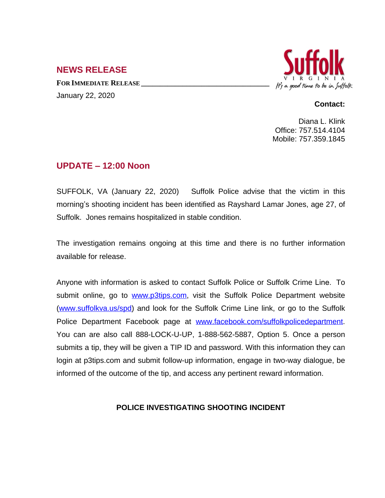## **NEWS RELEASE**

**FOR IMMEDIATE RELEASE \_\_\_\_\_\_\_\_\_\_\_\_\_\_\_\_\_\_\_\_\_\_\_\_\_\_\_\_\_\_\_\_\_\_** January 22, 2020



## **Contact:**

Diana L. Klink Office: 757.514.4104 Mobile: 757.359.1845

## **UPDATE – 12:00 Noon**

SUFFOLK, VA (January 22, 2020) Suffolk Police advise that the victim in this morning's shooting incident has been identified as Rayshard Lamar Jones, age 27, of Suffolk. Jones remains hospitalized in stable condition.

The investigation remains ongoing at this time and there is no further information available for release.

Anyone with information is asked to contact Suffolk Police or Suffolk Crime Line. To submit online, go to [www.p3tips.com](http://www.p3tips.com), visit the Suffolk Police Department website ([www.suffolkva.us/spd](http://www.suffolkva.us/spd)) and look for the Suffolk Crime Line link, or go to the Suffolk Police Department Facebook page at [www.facebook.com/suffolkpolicedepartment.](http://www.facebook.com/suffolkpolicedepartment) You can are also call 888-LOCK-U-UP, 1-888-562-5887, Option 5. Once a person submits a tip, they will be given a TIP ID and password. With this information they can login at p3tips.com and submit follow-up information, engage in two-way dialogue, be informed of the outcome of the tip, and access any pertinent reward information.

## **POLICE INVESTIGATING SHOOTING INCIDENT**